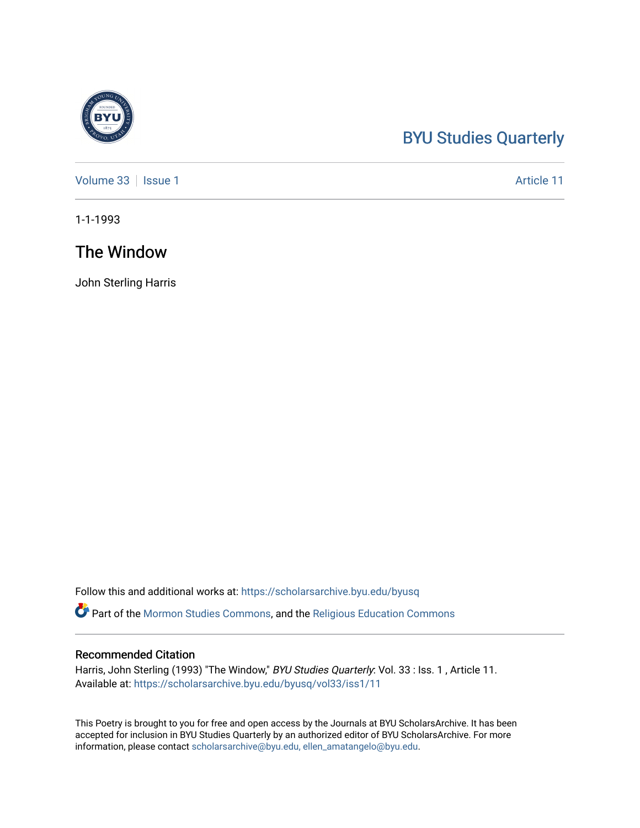## [BYU Studies Quarterly](https://scholarsarchive.byu.edu/byusq)

[Volume 33](https://scholarsarchive.byu.edu/byusq/vol33) | [Issue 1](https://scholarsarchive.byu.edu/byusq/vol33/iss1) Article 11

1-1-1993

### The Window

John Sterling Harris

Follow this and additional works at: [https://scholarsarchive.byu.edu/byusq](https://scholarsarchive.byu.edu/byusq?utm_source=scholarsarchive.byu.edu%2Fbyusq%2Fvol33%2Fiss1%2F11&utm_medium=PDF&utm_campaign=PDFCoverPages) 

Part of the [Mormon Studies Commons](http://network.bepress.com/hgg/discipline/1360?utm_source=scholarsarchive.byu.edu%2Fbyusq%2Fvol33%2Fiss1%2F11&utm_medium=PDF&utm_campaign=PDFCoverPages), and the [Religious Education Commons](http://network.bepress.com/hgg/discipline/1414?utm_source=scholarsarchive.byu.edu%2Fbyusq%2Fvol33%2Fiss1%2F11&utm_medium=PDF&utm_campaign=PDFCoverPages) 

#### Recommended Citation

Harris, John Sterling (1993) "The Window," BYU Studies Quarterly: Vol. 33 : Iss. 1, Article 11. Available at: [https://scholarsarchive.byu.edu/byusq/vol33/iss1/11](https://scholarsarchive.byu.edu/byusq/vol33/iss1/11?utm_source=scholarsarchive.byu.edu%2Fbyusq%2Fvol33%2Fiss1%2F11&utm_medium=PDF&utm_campaign=PDFCoverPages) 

This Poetry is brought to you for free and open access by the Journals at BYU ScholarsArchive. It has been accepted for inclusion in BYU Studies Quarterly by an authorized editor of BYU ScholarsArchive. For more information, please contact [scholarsarchive@byu.edu, ellen\\_amatangelo@byu.edu.](mailto:scholarsarchive@byu.edu,%20ellen_amatangelo@byu.edu)